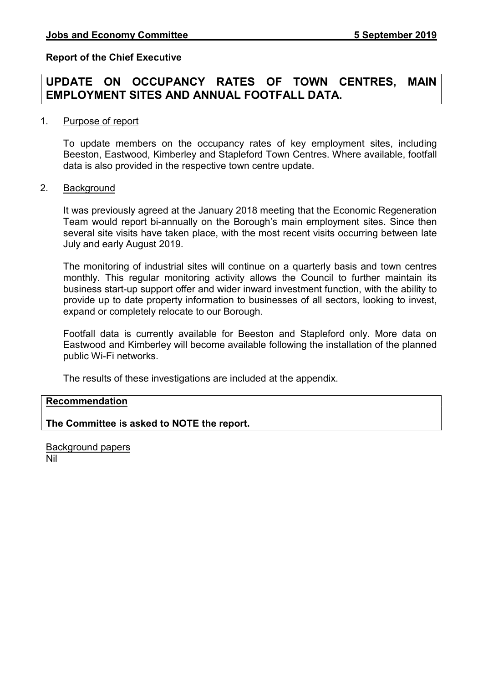### Report of the Chief Executive

# UPDATE ON OCCUPANCY RATES OF TOWN CENTRES, MAIN EMPLOYMENT SITES AND ANNUAL FOOTFALL DATA.

#### 1. Purpose of report

 To update members on the occupancy rates of key employment sites, including Beeston, Eastwood, Kimberley and Stapleford Town Centres. Where available, footfall data is also provided in the respective town centre update.

#### 2. Background

It was previously agreed at the January 2018 meeting that the Economic Regeneration Team would report bi-annually on the Borough's main employment sites. Since then several site visits have taken place, with the most recent visits occurring between late July and early August 2019.

The monitoring of industrial sites will continue on a quarterly basis and town centres monthly. This regular monitoring activity allows the Council to further maintain its business start-up support offer and wider inward investment function, with the ability to provide up to date property information to businesses of all sectors, looking to invest, expand or completely relocate to our Borough.

Footfall data is currently available for Beeston and Stapleford only. More data on Eastwood and Kimberley will become available following the installation of the planned public Wi-Fi networks.

The results of these investigations are included at the appendix.

# Recommendation

The Committee is asked to NOTE the report.

Background papers Nil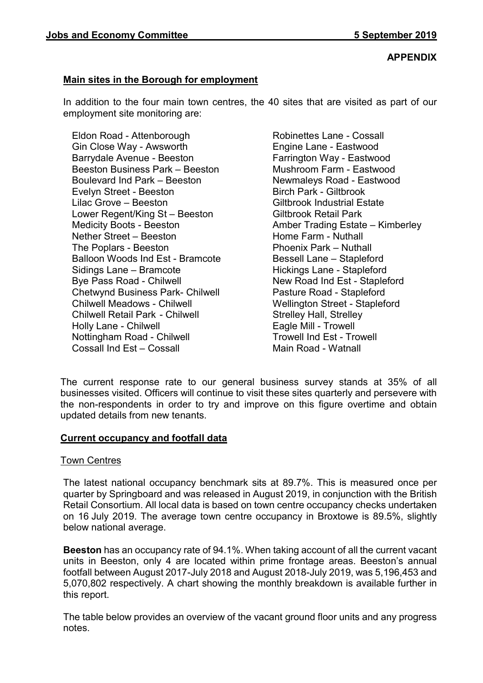### APPENDIX

# Main sites in the Borough for employment

In addition to the four main town centres, the 40 sites that are visited as part of our employment site monitoring are:

Eldon Road - Attenborough Gin Close Way - Awsworth Barrydale Avenue - Beeston Beeston Business Park – Beeston Boulevard Ind Park – Beeston Evelyn Street - Beeston Lilac Grove – Beeston Lower Regent/King St – Beeston Medicity Boots - Beeston Nether Street – Beeston The Poplars - Beeston Balloon Woods Ind Est - Bramcote Sidings Lane – Bramcote Bye Pass Road - Chilwell Chetwynd Business Park- Chilwell Chilwell Meadows - Chilwell Chilwell Retail Park - Chilwell Holly Lane - Chilwell Nottingham Road - Chilwell Cossall Ind Est – Cossall

Robinettes Lane - Cossall Engine Lane - Eastwood Farrington Way - Eastwood Mushroom Farm - Eastwood Newmaleys Road - Eastwood Birch Park - Giltbrook Giltbrook Industrial Estate Giltbrook Retail Park Amber Trading Estate – Kimberley Home Farm - Nuthall Phoenix Park – Nuthall Bessell Lane – Stapleford Hickings Lane - Stapleford New Road Ind Est - Stapleford Pasture Road - Stapleford Wellington Street - Stapleford Strelley Hall, Strelley Eagle Mill - Trowell Trowell Ind Est - Trowell Main Road - Watnall

The current response rate to our general business survey stands at 35% of all businesses visited. Officers will continue to visit these sites quarterly and persevere with the non-respondents in order to try and improve on this figure overtime and obtain updated details from new tenants.

## Current occupancy and footfall data

#### Town Centres

The latest national occupancy benchmark sits at 89.7%. This is measured once per quarter by Springboard and was released in August 2019, in conjunction with the British Retail Consortium. All local data is based on town centre occupancy checks undertaken on 16 July 2019. The average town centre occupancy in Broxtowe is 89.5%, slightly below national average.

Beeston has an occupancy rate of 94.1%. When taking account of all the current vacant units in Beeston, only 4 are located within prime frontage areas. Beeston's annual footfall between August 2017-July 2018 and August 2018-July 2019, was 5,196,453 and 5,070,802 respectively. A chart showing the monthly breakdown is available further in this report.

The table below provides an overview of the vacant ground floor units and any progress notes.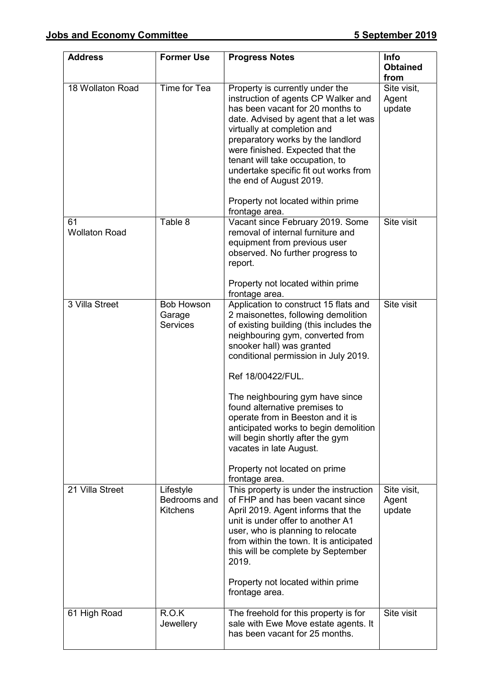| <b>Address</b>             | <b>Former Use</b>                              | <b>Progress Notes</b>                                                                                                                                                                                                                                                                                                                                                                                                                                                                                                     | <b>Info</b><br><b>Obtained</b><br>from |
|----------------------------|------------------------------------------------|---------------------------------------------------------------------------------------------------------------------------------------------------------------------------------------------------------------------------------------------------------------------------------------------------------------------------------------------------------------------------------------------------------------------------------------------------------------------------------------------------------------------------|----------------------------------------|
| 18 Wollaton Road           | Time for Tea                                   | Property is currently under the<br>instruction of agents CP Walker and<br>has been vacant for 20 months to<br>date. Advised by agent that a let was<br>virtually at completion and<br>preparatory works by the landlord<br>were finished. Expected that the<br>tenant will take occupation, to<br>undertake specific fit out works from<br>the end of August 2019.<br>Property not located within prime<br>frontage area.                                                                                                 | Site visit,<br>Agent<br>update         |
| 61<br><b>Wollaton Road</b> | Table 8                                        | Vacant since February 2019. Some<br>removal of internal furniture and<br>equipment from previous user<br>observed. No further progress to<br>report.<br>Property not located within prime<br>frontage area.                                                                                                                                                                                                                                                                                                               | Site visit                             |
| 3 Villa Street             | <b>Bob Howson</b><br>Garage<br><b>Services</b> | Application to construct 15 flats and<br>2 maisonettes, following demolition<br>of existing building (this includes the<br>neighbouring gym, converted from<br>snooker hall) was granted<br>conditional permission in July 2019.<br>Ref 18/00422/FUL.<br>The neighbouring gym have since<br>found alternative premises to<br>operate from in Beeston and it is<br>anticipated works to begin demolition<br>will begin shortly after the gym<br>vacates in late August.<br>Property not located on prime<br>frontage area. | Site visit                             |
| 21 Villa Street            | Lifestyle<br>Bedrooms and<br><b>Kitchens</b>   | This property is under the instruction<br>of FHP and has been vacant since<br>April 2019. Agent informs that the<br>unit is under offer to another A1<br>user, who is planning to relocate<br>from within the town. It is anticipated<br>this will be complete by September<br>2019.<br>Property not located within prime<br>frontage area.                                                                                                                                                                               | Site visit,<br>Agent<br>update         |
| 61 High Road               | R.O.K<br>Jewellery                             | The freehold for this property is for<br>sale with Ewe Move estate agents. It<br>has been vacant for 25 months.                                                                                                                                                                                                                                                                                                                                                                                                           | Site visit                             |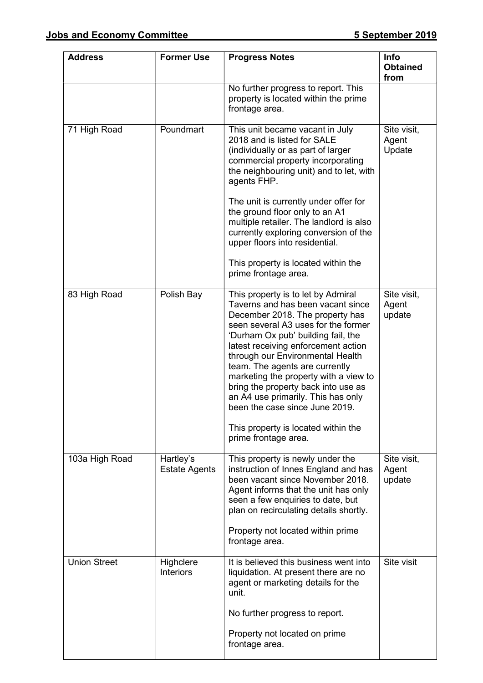| <b>Address</b>      | <b>Former Use</b>                 | <b>Progress Notes</b>                                                                                                                                                                                                                                                                                                                                                                                                                                                                                                       | Info<br><b>Obtained</b><br>from |
|---------------------|-----------------------------------|-----------------------------------------------------------------------------------------------------------------------------------------------------------------------------------------------------------------------------------------------------------------------------------------------------------------------------------------------------------------------------------------------------------------------------------------------------------------------------------------------------------------------------|---------------------------------|
|                     |                                   | No further progress to report. This<br>property is located within the prime<br>frontage area.                                                                                                                                                                                                                                                                                                                                                                                                                               |                                 |
| 71 High Road        | Poundmart                         | This unit became vacant in July<br>2018 and is listed for SALE<br>(individually or as part of larger<br>commercial property incorporating<br>the neighbouring unit) and to let, with<br>agents FHP.<br>The unit is currently under offer for<br>the ground floor only to an A1<br>multiple retailer. The landlord is also<br>currently exploring conversion of the<br>upper floors into residential.<br>This property is located within the<br>prime frontage area.                                                         | Site visit,<br>Agent<br>Update  |
| 83 High Road        | Polish Bay                        | This property is to let by Admiral<br>Taverns and has been vacant since<br>December 2018. The property has<br>seen several A3 uses for the former<br>'Durham Ox pub' building fail, the<br>latest receiving enforcement action<br>through our Environmental Health<br>team. The agents are currently<br>marketing the property with a view to<br>bring the property back into use as<br>an A4 use primarily. This has only<br>been the case since June 2019.<br>This property is located within the<br>prime frontage area. | Site visit,<br>Agent<br>update  |
| 103a High Road      | Hartley's<br><b>Estate Agents</b> | This property is newly under the<br>instruction of Innes England and has<br>been vacant since November 2018.<br>Agent informs that the unit has only<br>seen a few enquiries to date, but<br>plan on recirculating details shortly.<br>Property not located within prime<br>frontage area.                                                                                                                                                                                                                                  | Site visit,<br>Agent<br>update  |
| <b>Union Street</b> | Highclere<br><b>Interiors</b>     | It is believed this business went into<br>liquidation. At present there are no<br>agent or marketing details for the<br>unit.<br>No further progress to report.                                                                                                                                                                                                                                                                                                                                                             | Site visit                      |
|                     |                                   | Property not located on prime<br>frontage area.                                                                                                                                                                                                                                                                                                                                                                                                                                                                             |                                 |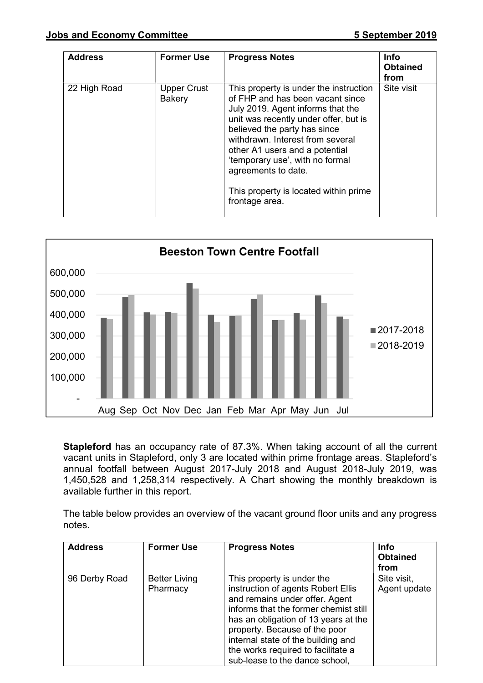| <b>Address</b> | <b>Former Use</b>            | <b>Progress Notes</b>                                                                                                                                                                                                                                                                                                                                                               | <b>Info</b><br><b>Obtained</b><br>from |
|----------------|------------------------------|-------------------------------------------------------------------------------------------------------------------------------------------------------------------------------------------------------------------------------------------------------------------------------------------------------------------------------------------------------------------------------------|----------------------------------------|
| 22 High Road   | <b>Upper Crust</b><br>Bakery | This property is under the instruction<br>of FHP and has been vacant since<br>July 2019. Agent informs that the<br>unit was recently under offer, but is<br>believed the party has since<br>withdrawn. Interest from several<br>other A1 users and a potential<br>'temporary use', with no formal<br>agreements to date.<br>This property is located within prime<br>frontage area. | Site visit                             |



Stapleford has an occupancy rate of 87.3%. When taking account of all the current vacant units in Stapleford, only 3 are located within prime frontage areas. Stapleford's annual footfall between August 2017-July 2018 and August 2018-July 2019, was 1,450,528 and 1,258,314 respectively. A Chart showing the monthly breakdown is available further in this report.

The table below provides an overview of the vacant ground floor units and any progress notes.

| <b>Address</b> | <b>Former Use</b>                | <b>Progress Notes</b>                                                                                                                                                                                                                                                                                                              | <b>Info</b><br><b>Obtained</b><br>from |
|----------------|----------------------------------|------------------------------------------------------------------------------------------------------------------------------------------------------------------------------------------------------------------------------------------------------------------------------------------------------------------------------------|----------------------------------------|
| 96 Derby Road  | <b>Better Living</b><br>Pharmacy | This property is under the<br>instruction of agents Robert Ellis<br>and remains under offer. Agent<br>informs that the former chemist still<br>has an obligation of 13 years at the<br>property. Because of the poor<br>internal state of the building and<br>the works required to facilitate a<br>sub-lease to the dance school, | Site visit,<br>Agent update            |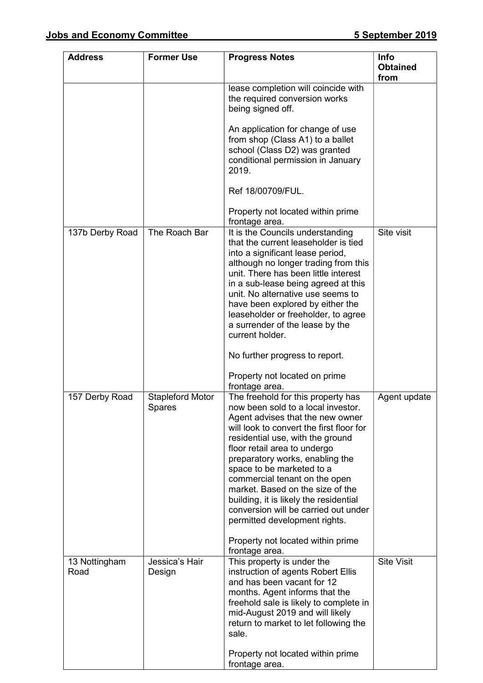| <b>Address</b>        | <b>Former Use</b>                        | <b>Progress Notes</b>                                                                                                                                                                                                                                                                                                                                                                                                                                                                                                                       | <b>Info</b><br><b>Obtained</b><br>from |
|-----------------------|------------------------------------------|---------------------------------------------------------------------------------------------------------------------------------------------------------------------------------------------------------------------------------------------------------------------------------------------------------------------------------------------------------------------------------------------------------------------------------------------------------------------------------------------------------------------------------------------|----------------------------------------|
|                       |                                          | lease completion will coincide with<br>the required conversion works<br>being signed off.                                                                                                                                                                                                                                                                                                                                                                                                                                                   |                                        |
|                       |                                          | An application for change of use<br>from shop (Class A1) to a ballet<br>school (Class D2) was granted<br>conditional permission in January<br>2019.                                                                                                                                                                                                                                                                                                                                                                                         |                                        |
|                       |                                          | Ref 18/00709/FUL.                                                                                                                                                                                                                                                                                                                                                                                                                                                                                                                           |                                        |
|                       |                                          | Property not located within prime<br>frontage area.                                                                                                                                                                                                                                                                                                                                                                                                                                                                                         |                                        |
| 137b Derby Road       | The Roach Bar                            | It is the Councils understanding<br>that the current leaseholder is tied<br>into a significant lease period,<br>although no longer trading from this<br>unit. There has been little interest<br>in a sub-lease being agreed at this<br>unit. No alternative use seems to<br>have been explored by either the<br>leaseholder or freeholder, to agree<br>a surrender of the lease by the<br>current holder.                                                                                                                                   | Site visit                             |
|                       |                                          | No further progress to report.<br>Property not located on prime                                                                                                                                                                                                                                                                                                                                                                                                                                                                             |                                        |
| 157 Derby Road        | <b>Stapleford Motor</b><br><b>Spares</b> | frontage area.<br>The freehold for this property has<br>now been sold to a local investor.<br>Agent advises that the new owner<br>will look to convert the first floor for<br>residential use, with the ground<br>floor retail area to undergo<br>preparatory works, enabling the<br>space to be marketed to a<br>commercial tenant on the open<br>market. Based on the size of the<br>building, it is likely the residential<br>conversion will be carried out under<br>permitted development rights.<br>Property not located within prime | Agent update                           |
| 13 Nottingham<br>Road | Jessica's Hair<br>Design                 | frontage area.<br>This property is under the<br>instruction of agents Robert Ellis<br>and has been vacant for 12<br>months. Agent informs that the<br>freehold sale is likely to complete in<br>mid-August 2019 and will likely<br>return to market to let following the<br>sale.                                                                                                                                                                                                                                                           | <b>Site Visit</b>                      |
|                       |                                          | Property not located within prime<br>frontage area.                                                                                                                                                                                                                                                                                                                                                                                                                                                                                         |                                        |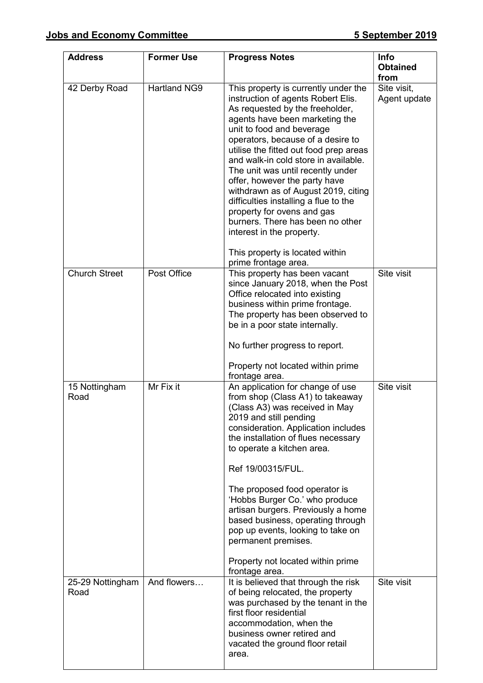| <b>Address</b>        | <b>Former Use</b>   | <b>Progress Notes</b>                                                                                                                                                                                                                                                                                                                                                                                                                                                                                                                                                                       | <b>Info</b><br><b>Obtained</b><br>from |
|-----------------------|---------------------|---------------------------------------------------------------------------------------------------------------------------------------------------------------------------------------------------------------------------------------------------------------------------------------------------------------------------------------------------------------------------------------------------------------------------------------------------------------------------------------------------------------------------------------------------------------------------------------------|----------------------------------------|
| 42 Derby Road         | <b>Hartland NG9</b> | This property is currently under the<br>instruction of agents Robert Elis.<br>As requested by the freeholder,<br>agents have been marketing the<br>unit to food and beverage<br>operators, because of a desire to<br>utilise the fitted out food prep areas<br>and walk-in cold store in available.<br>The unit was until recently under<br>offer, however the party have<br>withdrawn as of August 2019, citing<br>difficulties installing a flue to the<br>property for ovens and gas<br>burners. There has been no other<br>interest in the property.<br>This property is located within | Site visit,<br>Agent update            |
| <b>Church Street</b>  | Post Office         | prime frontage area.<br>This property has been vacant<br>since January 2018, when the Post<br>Office relocated into existing<br>business within prime frontage.<br>The property has been observed to                                                                                                                                                                                                                                                                                                                                                                                        | Site visit                             |
|                       |                     | be in a poor state internally.<br>No further progress to report.                                                                                                                                                                                                                                                                                                                                                                                                                                                                                                                            |                                        |
|                       |                     | Property not located within prime<br>frontage area.                                                                                                                                                                                                                                                                                                                                                                                                                                                                                                                                         |                                        |
| 15 Nottingham<br>Road | Mr Fix it           | An application for change of use<br>from shop (Class A1) to takeaway<br>(Class A3) was received in May<br>2019 and still pending<br>consideration. Application includes<br>the installation of flues necessary<br>to operate a kitchen area.<br>Ref 19/00315/FUL.<br>The proposed food operator is<br>'Hobbs Burger Co.' who produce<br>artisan burgers. Previously a home<br>based business, operating through<br>pop up events, looking to take on<br>permanent premises.<br>Property not located within prime                                                                            | Site visit                             |
| 25-29 Nottingham      | And flowers         | frontage area.<br>It is believed that through the risk                                                                                                                                                                                                                                                                                                                                                                                                                                                                                                                                      | Site visit                             |
| Road                  |                     | of being relocated, the property<br>was purchased by the tenant in the<br>first floor residential<br>accommodation, when the<br>business owner retired and<br>vacated the ground floor retail<br>area.                                                                                                                                                                                                                                                                                                                                                                                      |                                        |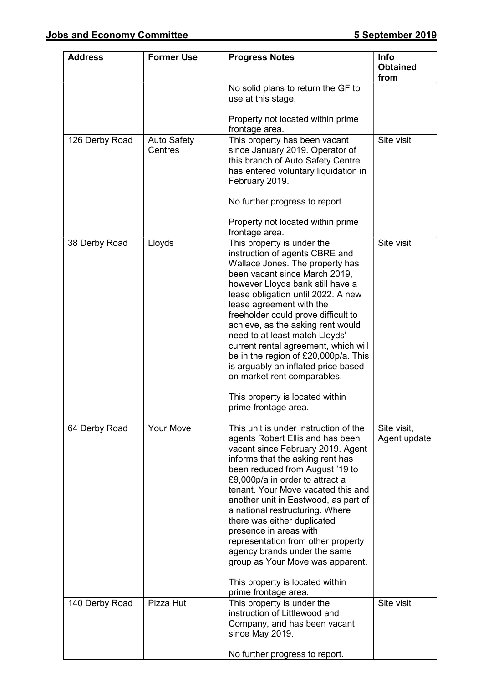| <b>Address</b> | <b>Former Use</b>             | <b>Progress Notes</b>                                                                                                                                                                                                                                                                                                                                                                                                                                                                                                                                                   | <b>Info</b><br><b>Obtained</b><br>from |
|----------------|-------------------------------|-------------------------------------------------------------------------------------------------------------------------------------------------------------------------------------------------------------------------------------------------------------------------------------------------------------------------------------------------------------------------------------------------------------------------------------------------------------------------------------------------------------------------------------------------------------------------|----------------------------------------|
|                |                               | No solid plans to return the GF to<br>use at this stage.                                                                                                                                                                                                                                                                                                                                                                                                                                                                                                                |                                        |
|                |                               | Property not located within prime<br>frontage area.                                                                                                                                                                                                                                                                                                                                                                                                                                                                                                                     |                                        |
| 126 Derby Road | <b>Auto Safety</b><br>Centres | This property has been vacant<br>since January 2019. Operator of<br>this branch of Auto Safety Centre<br>has entered voluntary liquidation in<br>February 2019.<br>No further progress to report.                                                                                                                                                                                                                                                                                                                                                                       | Site visit                             |
|                |                               | Property not located within prime<br>frontage area.                                                                                                                                                                                                                                                                                                                                                                                                                                                                                                                     |                                        |
| 38 Derby Road  | Lloyds                        | This property is under the<br>instruction of agents CBRE and<br>Wallace Jones. The property has<br>been vacant since March 2019,<br>however Lloyds bank still have a<br>lease obligation until 2022. A new<br>lease agreement with the<br>freeholder could prove difficult to<br>achieve, as the asking rent would<br>need to at least match Lloyds'<br>current rental agreement, which will<br>be in the region of £20,000p/a. This<br>is arguably an inflated price based<br>on market rent comparables.<br>This property is located within                           | Site visit                             |
|                |                               | prime frontage area.                                                                                                                                                                                                                                                                                                                                                                                                                                                                                                                                                    |                                        |
| 64 Derby Road  | <b>Your Move</b>              | This unit is under instruction of the<br>agents Robert Ellis and has been<br>vacant since February 2019. Agent<br>informs that the asking rent has<br>been reduced from August '19 to<br>£9,000p/a in order to attract a<br>tenant. Your Move vacated this and<br>another unit in Eastwood, as part of<br>a national restructuring. Where<br>there was either duplicated<br>presence in areas with<br>representation from other property<br>agency brands under the same<br>group as Your Move was apparent.<br>This property is located within<br>prime frontage area. | Site visit,<br>Agent update            |
| 140 Derby Road | Pizza Hut                     | This property is under the<br>instruction of Littlewood and<br>Company, and has been vacant<br>since May 2019.                                                                                                                                                                                                                                                                                                                                                                                                                                                          | Site visit                             |
|                |                               | No further progress to report.                                                                                                                                                                                                                                                                                                                                                                                                                                                                                                                                          |                                        |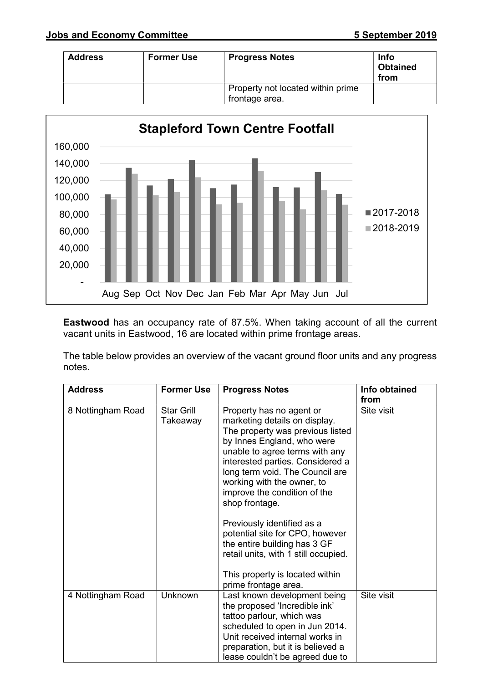| <b>Address</b> | <b>Former Use</b> | <b>Progress Notes</b>             | <b>Info</b><br><b>Obtained</b><br>from |
|----------------|-------------------|-----------------------------------|----------------------------------------|
|                |                   | Property not located within prime |                                        |
|                |                   | frontage area.                    |                                        |



Eastwood has an occupancy rate of 87.5%. When taking account of all the current vacant units in Eastwood, 16 are located within prime frontage areas.

The table below provides an overview of the vacant ground floor units and any progress notes.

| <b>Address</b>    | <b>Former Use</b>             | <b>Progress Notes</b>                                                                                                                                                                                                                                                                                                | Info obtained<br>from |
|-------------------|-------------------------------|----------------------------------------------------------------------------------------------------------------------------------------------------------------------------------------------------------------------------------------------------------------------------------------------------------------------|-----------------------|
| 8 Nottingham Road | <b>Star Grill</b><br>Takeaway | Property has no agent or<br>marketing details on display.<br>The property was previous listed<br>by Innes England, who were<br>unable to agree terms with any<br>interested parties. Considered a<br>long term void. The Council are<br>working with the owner, to<br>improve the condition of the<br>shop frontage. | Site visit            |
|                   |                               | Previously identified as a<br>potential site for CPO, however<br>the entire building has 3 GF<br>retail units, with 1 still occupied.<br>This property is located within                                                                                                                                             |                       |
|                   |                               | prime frontage area.                                                                                                                                                                                                                                                                                                 |                       |
| 4 Nottingham Road | Unknown                       | Last known development being<br>the proposed 'Incredible ink'<br>tattoo parlour, which was<br>scheduled to open in Jun 2014.<br>Unit received internal works in<br>preparation, but it is believed a<br>lease couldn't be agreed due to                                                                              | Site visit            |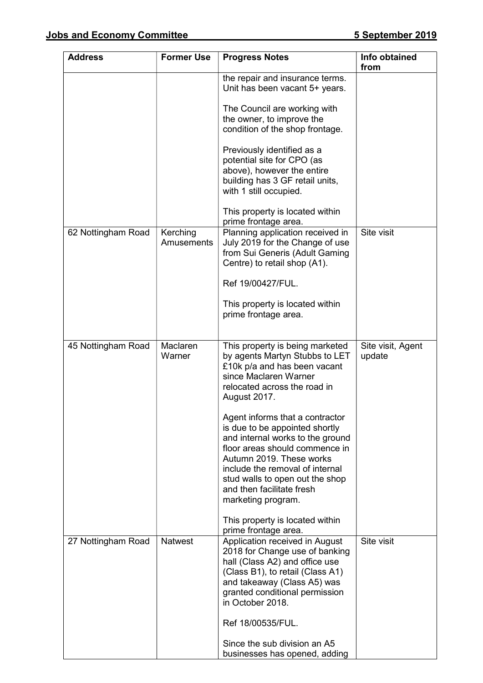| <b>Address</b>     | <b>Former Use</b>      | <b>Progress Notes</b>                                                                                                                                                                                                                                                                        | Info obtained<br>from       |
|--------------------|------------------------|----------------------------------------------------------------------------------------------------------------------------------------------------------------------------------------------------------------------------------------------------------------------------------------------|-----------------------------|
|                    |                        | the repair and insurance terms.<br>Unit has been vacant 5+ years.                                                                                                                                                                                                                            |                             |
|                    |                        | The Council are working with<br>the owner, to improve the<br>condition of the shop frontage.                                                                                                                                                                                                 |                             |
|                    |                        | Previously identified as a<br>potential site for CPO (as<br>above), however the entire<br>building has 3 GF retail units,<br>with 1 still occupied.                                                                                                                                          |                             |
|                    |                        | This property is located within<br>prime frontage area.                                                                                                                                                                                                                                      |                             |
| 62 Nottingham Road | Kerching<br>Amusements | Planning application received in<br>July 2019 for the Change of use<br>from Sui Generis (Adult Gaming<br>Centre) to retail shop (A1).                                                                                                                                                        | Site visit                  |
|                    |                        | Ref 19/00427/FUL.                                                                                                                                                                                                                                                                            |                             |
|                    |                        | This property is located within<br>prime frontage area.                                                                                                                                                                                                                                      |                             |
| 45 Nottingham Road | Maclaren<br>Warner     | This property is being marketed<br>by agents Martyn Stubbs to LET<br>£10k p/a and has been vacant<br>since Maclaren Warner<br>relocated across the road in<br><b>August 2017.</b>                                                                                                            | Site visit, Agent<br>update |
|                    |                        | Agent informs that a contractor<br>is due to be appointed shortly<br>and internal works to the ground<br>floor areas should commence in<br>Autumn 2019. These works<br>include the removal of internal<br>stud walls to open out the shop<br>and then facilitate fresh<br>marketing program. |                             |
|                    |                        | This property is located within<br>prime frontage area.                                                                                                                                                                                                                                      |                             |
| 27 Nottingham Road | <b>Natwest</b>         | Application received in August<br>2018 for Change use of banking<br>hall (Class A2) and office use<br>(Class B1), to retail (Class A1)<br>and takeaway (Class A5) was<br>granted conditional permission<br>in October 2018.                                                                  | Site visit                  |
|                    |                        | Ref 18/00535/FUL.                                                                                                                                                                                                                                                                            |                             |
|                    |                        | Since the sub division an A5<br>businesses has opened, adding                                                                                                                                                                                                                                |                             |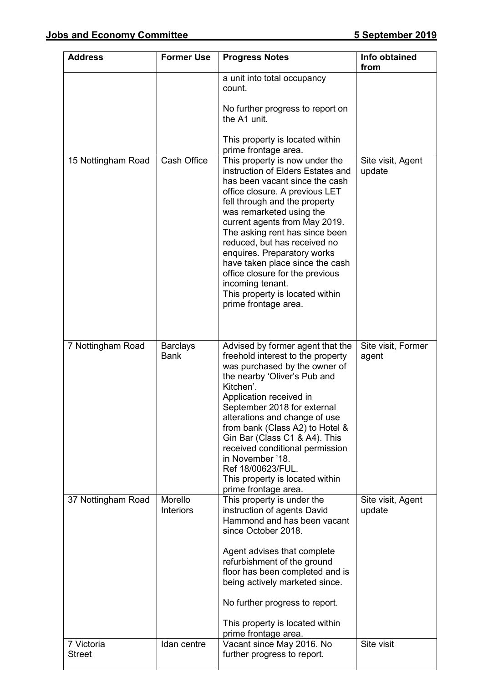| <b>Address</b>              | <b>Former Use</b>              | <b>Progress Notes</b>                                                                                                                                                                                                                                                                                                                                                                                                                                                                       | Info obtained<br>from       |
|-----------------------------|--------------------------------|---------------------------------------------------------------------------------------------------------------------------------------------------------------------------------------------------------------------------------------------------------------------------------------------------------------------------------------------------------------------------------------------------------------------------------------------------------------------------------------------|-----------------------------|
|                             |                                | a unit into total occupancy<br>count.                                                                                                                                                                                                                                                                                                                                                                                                                                                       |                             |
|                             |                                | No further progress to report on<br>the A1 unit.                                                                                                                                                                                                                                                                                                                                                                                                                                            |                             |
|                             |                                | This property is located within<br>prime frontage area.                                                                                                                                                                                                                                                                                                                                                                                                                                     |                             |
| 15 Nottingham Road          | <b>Cash Office</b>             | This property is now under the<br>instruction of Elders Estates and<br>has been vacant since the cash<br>office closure. A previous LET<br>fell through and the property<br>was remarketed using the<br>current agents from May 2019.<br>The asking rent has since been<br>reduced, but has received no<br>enquires. Preparatory works<br>have taken place since the cash<br>office closure for the previous<br>incoming tenant.<br>This property is located within<br>prime frontage area. | Site visit, Agent<br>update |
| 7 Nottingham Road           | <b>Barclays</b><br><b>Bank</b> | Advised by former agent that the<br>freehold interest to the property<br>was purchased by the owner of<br>the nearby 'Oliver's Pub and<br>Kitchen'.<br>Application received in<br>September 2018 for external<br>alterations and change of use<br>from bank (Class A2) to Hotel &<br>Gin Bar (Class C1 & A4). This<br>received conditional permission<br>in November '18.<br>Ref 18/00623/FUL.<br>This property is located within<br>prime frontage area.                                   | Site visit, Former<br>agent |
| 37 Nottingham Road          | Morello<br><b>Interiors</b>    | This property is under the<br>instruction of agents David<br>Hammond and has been vacant<br>since October 2018.<br>Agent advises that complete<br>refurbishment of the ground<br>floor has been completed and is<br>being actively marketed since.<br>No further progress to report.<br>This property is located within<br>prime frontage area.                                                                                                                                             | Site visit, Agent<br>update |
| 7 Victoria<br><b>Street</b> | Idan centre                    | Vacant since May 2016. No<br>further progress to report.                                                                                                                                                                                                                                                                                                                                                                                                                                    | Site visit                  |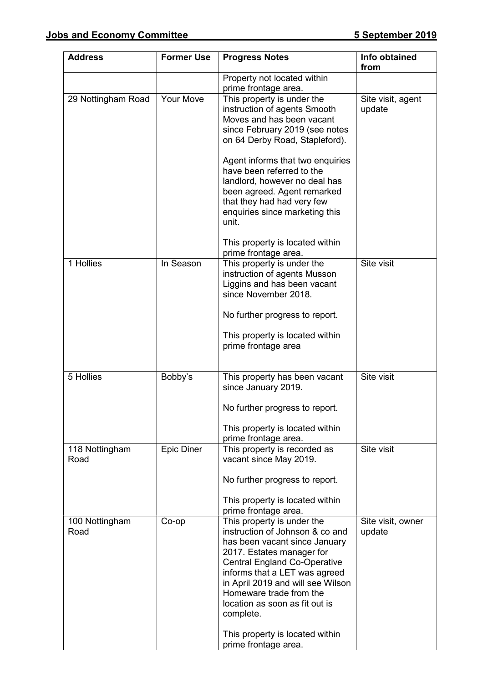| <b>Address</b>         | <b>Former Use</b> | <b>Progress Notes</b>                                                                                                                                                                                                                                                                                                                                 | Info obtained<br>from       |
|------------------------|-------------------|-------------------------------------------------------------------------------------------------------------------------------------------------------------------------------------------------------------------------------------------------------------------------------------------------------------------------------------------------------|-----------------------------|
|                        |                   | Property not located within<br>prime frontage area.                                                                                                                                                                                                                                                                                                   |                             |
| 29 Nottingham Road     | Your Move         | This property is under the<br>instruction of agents Smooth<br>Moves and has been vacant<br>since February 2019 (see notes<br>on 64 Derby Road, Stapleford).                                                                                                                                                                                           | Site visit, agent<br>update |
|                        |                   | Agent informs that two enquiries<br>have been referred to the<br>landlord, however no deal has<br>been agreed. Agent remarked<br>that they had had very few<br>enquiries since marketing this<br>unit.                                                                                                                                                |                             |
|                        |                   | This property is located within<br>prime frontage area.                                                                                                                                                                                                                                                                                               |                             |
| 1 Hollies              | In Season         | This property is under the<br>instruction of agents Musson<br>Liggins and has been vacant<br>since November 2018.                                                                                                                                                                                                                                     | Site visit                  |
|                        |                   | No further progress to report.                                                                                                                                                                                                                                                                                                                        |                             |
|                        |                   | This property is located within<br>prime frontage area                                                                                                                                                                                                                                                                                                |                             |
| 5 Hollies              | Bobby's           | This property has been vacant<br>since January 2019.                                                                                                                                                                                                                                                                                                  | Site visit                  |
|                        |                   | No further progress to report.<br>This property is located within<br>prime frontage area.                                                                                                                                                                                                                                                             |                             |
| 118 Nottingham<br>Road | <b>Epic Diner</b> | This property is recorded as<br>vacant since May 2019.                                                                                                                                                                                                                                                                                                | Site visit                  |
|                        |                   | No further progress to report.                                                                                                                                                                                                                                                                                                                        |                             |
|                        |                   | This property is located within<br>prime frontage area.                                                                                                                                                                                                                                                                                               |                             |
| 100 Nottingham<br>Road | Co-op             | This property is under the<br>instruction of Johnson & co and<br>has been vacant since January<br>2017. Estates manager for<br><b>Central England Co-Operative</b><br>informs that a LET was agreed<br>in April 2019 and will see Wilson<br>Homeware trade from the<br>location as soon as fit out is<br>complete.<br>This property is located within | Site visit, owner<br>update |
|                        |                   | prime frontage area.                                                                                                                                                                                                                                                                                                                                  |                             |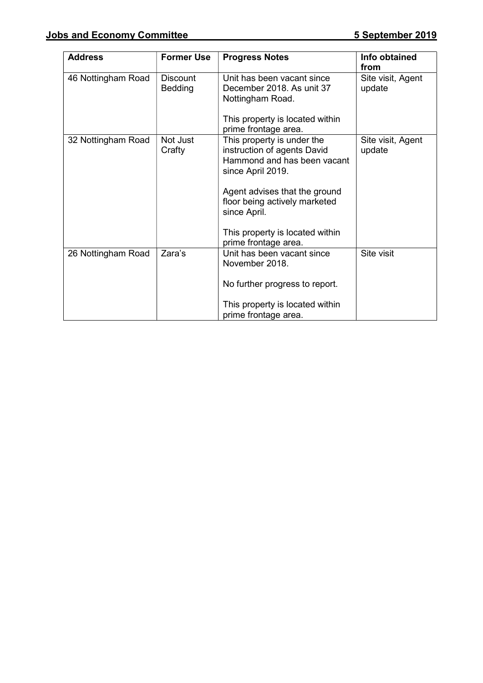| <b>Address</b>     | <b>Former Use</b>                 | <b>Progress Notes</b>                                                                                         | Info obtained<br>from       |
|--------------------|-----------------------------------|---------------------------------------------------------------------------------------------------------------|-----------------------------|
| 46 Nottingham Road | <b>Discount</b><br><b>Bedding</b> | Unit has been vacant since<br>December 2018. As unit 37<br>Nottingham Road.                                   | Site visit, Agent<br>update |
|                    |                                   | This property is located within<br>prime frontage area.                                                       |                             |
| 32 Nottingham Road | Not Just<br>Crafty                | This property is under the<br>instruction of agents David<br>Hammond and has been vacant<br>since April 2019. | Site visit, Agent<br>update |
|                    |                                   | Agent advises that the ground<br>floor being actively marketed<br>since April.                                |                             |
|                    |                                   | This property is located within<br>prime frontage area.                                                       |                             |
| 26 Nottingham Road | Zara's                            | Unit has been vacant since<br>November 2018.                                                                  | Site visit                  |
|                    |                                   | No further progress to report.                                                                                |                             |
|                    |                                   | This property is located within<br>prime frontage area.                                                       |                             |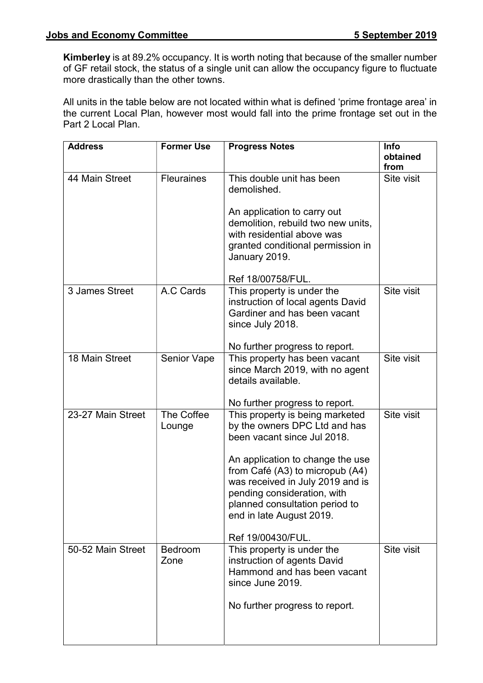Kimberley is at 89.2% occupancy. It is worth noting that because of the smaller number of GF retail stock, the status of a single unit can allow the occupancy figure to fluctuate more drastically than the other towns.

All units in the table below are not located within what is defined 'prime frontage area' in the current Local Plan, however most would fall into the prime frontage set out in the Part 2 Local Plan.

| <b>Address</b>    | <b>Former Use</b>      | <b>Progress Notes</b>                                                                                                                                                                                                                                                                                                        | Info<br>obtained<br>from |
|-------------------|------------------------|------------------------------------------------------------------------------------------------------------------------------------------------------------------------------------------------------------------------------------------------------------------------------------------------------------------------------|--------------------------|
| 44 Main Street    | <b>Fleuraines</b>      | This double unit has been<br>demolished.<br>An application to carry out<br>demolition, rebuild two new units,<br>with residential above was<br>granted conditional permission in<br>January 2019.<br>Ref 18/00758/FUL.                                                                                                       | Site visit               |
| 3 James Street    | A.C Cards              | This property is under the<br>instruction of local agents David<br>Gardiner and has been vacant<br>since July 2018.<br>No further progress to report.                                                                                                                                                                        | Site visit               |
| 18 Main Street    | <b>Senior Vape</b>     | This property has been vacant<br>since March 2019, with no agent<br>details available.<br>No further progress to report.                                                                                                                                                                                                     | Site visit               |
| 23-27 Main Street | The Coffee<br>Lounge   | This property is being marketed<br>by the owners DPC Ltd and has<br>been vacant since Jul 2018.<br>An application to change the use<br>from Café (A3) to micropub (A4)<br>was received in July 2019 and is<br>pending consideration, with<br>planned consultation period to<br>end in late August 2019.<br>Ref 19/00430/FUL. | Site visit               |
| 50-52 Main Street | <b>Bedroom</b><br>Zone | This property is under the<br>instruction of agents David<br>Hammond and has been vacant<br>since June 2019.<br>No further progress to report.                                                                                                                                                                               | Site visit               |